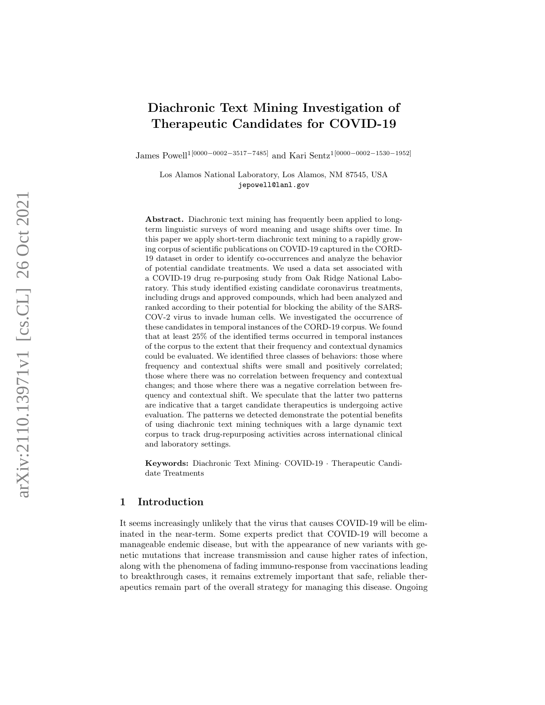# Diachronic Text Mining Investigation of Therapeutic Candidates for COVID-19

James Powell<sup>1[0000–0002–3517–7485]</sup> and Kari Sentz<sup>1[0000–0002–1530–1952]</sup>

Los Alamos National Laboratory, Los Alamos, NM 87545, USA jepowell@lanl.gov

Abstract. Diachronic text mining has frequently been applied to longterm linguistic surveys of word meaning and usage shifts over time. In this paper we apply short-term diachronic text mining to a rapidly growing corpus of scientific publications on COVID-19 captured in the CORD-19 dataset in order to identify co-occurrences and analyze the behavior of potential candidate treatments. We used a data set associated with a COVID-19 drug re-purposing study from Oak Ridge National Laboratory. This study identified existing candidate coronavirus treatments, including drugs and approved compounds, which had been analyzed and ranked according to their potential for blocking the ability of the SARS-COV-2 virus to invade human cells. We investigated the occurrence of these candidates in temporal instances of the CORD-19 corpus. We found that at least 25% of the identified terms occurred in temporal instances of the corpus to the extent that their frequency and contextual dynamics could be evaluated. We identified three classes of behaviors: those where frequency and contextual shifts were small and positively correlated; those where there was no correlation between frequency and contextual changes; and those where there was a negative correlation between frequency and contextual shift. We speculate that the latter two patterns are indicative that a target candidate therapeutics is undergoing active evaluation. The patterns we detected demonstrate the potential benefits of using diachronic text mining techniques with a large dynamic text corpus to track drug-repurposing activities across international clinical and laboratory settings.

Keywords: Diachronic Text Mining COVID-19 · Therapeutic Candidate Treatments

### 1 Introduction

It seems increasingly unlikely that the virus that causes COVID-19 will be eliminated in the near-term. Some experts predict that COVID-19 will become a manageable endemic disease, but with the appearance of new variants with genetic mutations that increase transmission and cause higher rates of infection, along with the phenomena of fading immuno-response from vaccinations leading to breakthrough cases, it remains extremely important that safe, reliable therapeutics remain part of the overall strategy for managing this disease. Ongoing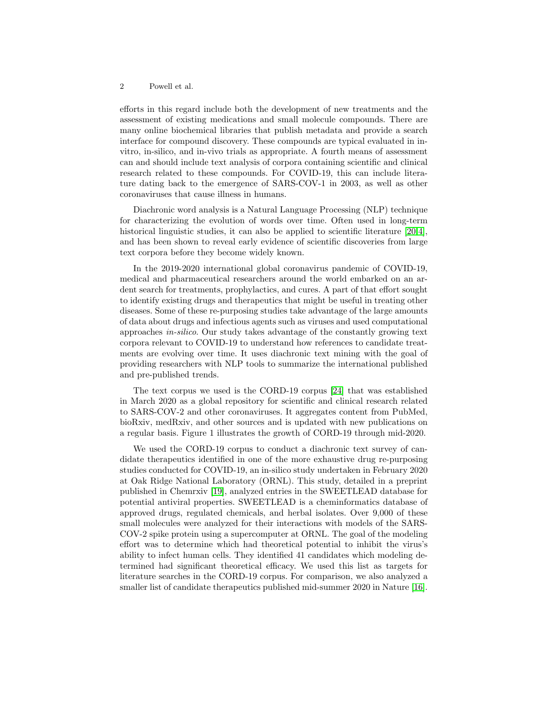efforts in this regard include both the development of new treatments and the assessment of existing medications and small molecule compounds. There are many online biochemical libraries that publish metadata and provide a search interface for compound discovery. These compounds are typical evaluated in invitro, in-silico, and in-vivo trials as appropriate. A fourth means of assessment can and should include text analysis of corpora containing scientific and clinical research related to these compounds. For COVID-19, this can include literature dating back to the emergence of SARS-COV-1 in 2003, as well as other coronaviruses that cause illness in humans.

Diachronic word analysis is a Natural Language Processing (NLP) technique for characterizing the evolution of words over time. Often used in long-term historical linguistic studies, it can also be applied to scientific literature [\[20,](#page-15-0)[4\]](#page-14-0), and has been shown to reveal early evidence of scientific discoveries from large text corpora before they become widely known.

In the 2019-2020 international global coronavirus pandemic of COVID-19, medical and pharmaceutical researchers around the world embarked on an ardent search for treatments, prophylactics, and cures. A part of that effort sought to identify existing drugs and therapeutics that might be useful in treating other diseases. Some of these re-purposing studies take advantage of the large amounts of data about drugs and infectious agents such as viruses and used computational approaches in-silico. Our study takes advantage of the constantly growing text corpora relevant to COVID-19 to understand how references to candidate treatments are evolving over time. It uses diachronic text mining with the goal of providing researchers with NLP tools to summarize the international published and pre-published trends.

The text corpus we used is the CORD-19 corpus [\[24\]](#page-15-1) that was established in March 2020 as a global repository for scientific and clinical research related to SARS-COV-2 and other coronaviruses. It aggregates content from PubMed, bioRxiv, medRxiv, and other sources and is updated with new publications on a regular basis. Figure 1 illustrates the growth of CORD-19 through mid-2020.

We used the CORD-19 corpus to conduct a diachronic text survey of candidate therapeutics identified in one of the more exhaustive drug re-purposing studies conducted for COVID-19, an in-silico study undertaken in February 2020 at Oak Ridge National Laboratory (ORNL). This study, detailed in a preprint published in Chemrxiv [\[19\]](#page-15-2), analyzed entries in the SWEETLEAD database for potential antiviral properties. SWEETLEAD is a cheminformatics database of approved drugs, regulated chemicals, and herbal isolates. Over 9,000 of these small molecules were analyzed for their interactions with models of the SARS-COV-2 spike protein using a supercomputer at ORNL. The goal of the modeling effort was to determine which had theoretical potential to inhibit the virus's ability to infect human cells. They identified 41 candidates which modeling determined had significant theoretical efficacy. We used this list as targets for literature searches in the CORD-19 corpus. For comparison, we also analyzed a smaller list of candidate therapeutics published mid-summer 2020 in Nature [\[16\]](#page-14-1).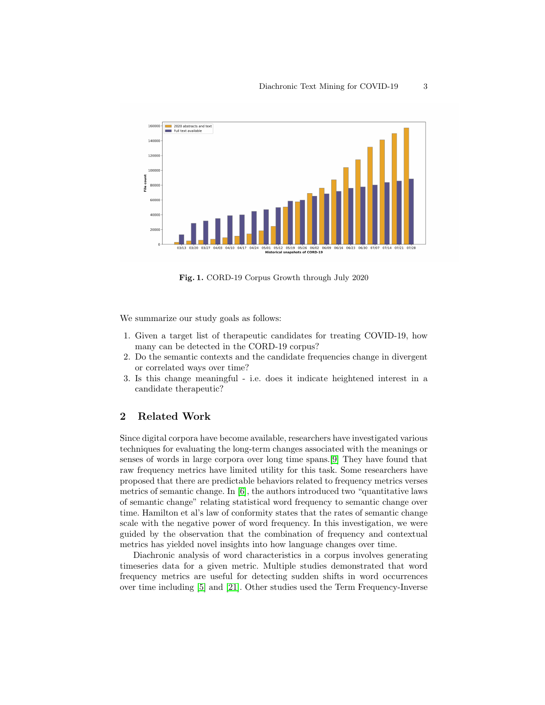

Fig. 1. CORD-19 Corpus Growth through July 2020

We summarize our study goals as follows:

- 1. Given a target list of therapeutic candidates for treating COVID-19, how many can be detected in the CORD-19 corpus?
- 2. Do the semantic contexts and the candidate frequencies change in divergent or correlated ways over time?
- 3. Is this change meaningful i.e. does it indicate heightened interest in a candidate therapeutic?

# 2 Related Work

Since digital corpora have become available, researchers have investigated various techniques for evaluating the long-term changes associated with the meanings or senses of words in large corpora over long time spans.[\[9\]](#page-14-2) They have found that raw frequency metrics have limited utility for this task. Some researchers have proposed that there are predictable behaviors related to frequency metrics verses metrics of semantic change. In [\[6\]](#page-14-3), the authors introduced two "quantitative laws of semantic change" relating statistical word frequency to semantic change over time. Hamilton et al's law of conformity states that the rates of semantic change scale with the negative power of word frequency. In this investigation, we were guided by the observation that the combination of frequency and contextual metrics has yielded novel insights into how language changes over time.

Diachronic analysis of word characteristics in a corpus involves generating timeseries data for a given metric. Multiple studies demonstrated that word frequency metrics are useful for detecting sudden shifts in word occurrences over time including [\[5\]](#page-14-4) and [\[21\]](#page-15-3). Other studies used the Term Frequency-Inverse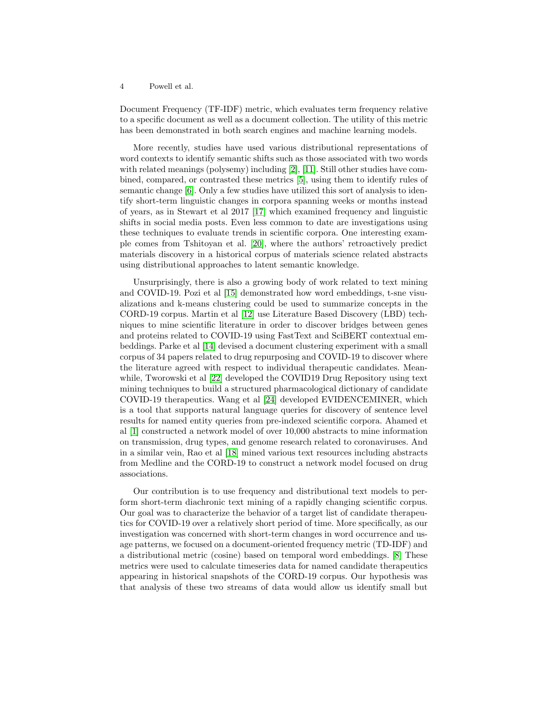Document Frequency (TF-IDF) metric, which evaluates term frequency relative to a specific document as well as a document collection. The utility of this metric has been demonstrated in both search engines and machine learning models.

More recently, studies have used various distributional representations of word contexts to identify semantic shifts such as those associated with two words with related meanings (polysemy) including [\[2\]](#page-14-5), [\[11\]](#page-14-6). Still other studies have combined, compared, or contrasted these metrics [\[5\]](#page-14-4), using them to identify rules of semantic change [\[6\]](#page-14-3). Only a few studies have utilized this sort of analysis to identify short-term linguistic changes in corpora spanning weeks or months instead of years, as in Stewart et al 2017 [\[17\]](#page-15-4) which examined frequency and linguistic shifts in social media posts. Even less common to date are investigations using these techniques to evaluate trends in scientific corpora. One interesting example comes from Tshitoyan et al. [\[20\]](#page-15-0), where the authors' retroactively predict materials discovery in a historical corpus of materials science related abstracts using distributional approaches to latent semantic knowledge.

Unsurprisingly, there is also a growing body of work related to text mining and COVID-19. Pozi et al [\[15\]](#page-14-7) demonstrated how word embeddings, t-sne visualizations and k-means clustering could be used to summarize concepts in the CORD-19 corpus. Martin et al [\[12\]](#page-14-8) use Literature Based Discovery (LBD) techniques to mine scientific literature in order to discover bridges between genes and proteins related to COVID-19 using FastText and SciBERT contextual embeddings. Parke et al [\[14\]](#page-14-9) devised a document clustering experiment with a small corpus of 34 papers related to drug repurposing and COVID-19 to discover where the literature agreed with respect to individual therapeutic candidates. Meanwhile, Tworowski et al [\[22\]](#page-15-5) developed the COVID19 Drug Repository using text mining techniques to build a structured pharmacological dictionary of candidate COVID-19 therapeutics. Wang et al [\[24\]](#page-15-1) developed EVIDENCEMINER, which is a tool that supports natural language queries for discovery of sentence level results for named entity queries from pre-indexed scientific corpora. Ahamed et al [\[1\]](#page-14-10) constructed a network model of over 10,000 abstracts to mine information on transmission, drug types, and genome research related to coronaviruses. And in a similar vein, Rao et al [\[18\]](#page-15-6) mined various text resources including abstracts from Medline and the CORD-19 to construct a network model focused on drug associations.

Our contribution is to use frequency and distributional text models to perform short-term diachronic text mining of a rapidly changing scientific corpus. Our goal was to characterize the behavior of a target list of candidate therapeutics for COVID-19 over a relatively short period of time. More specifically, as our investigation was concerned with short-term changes in word occurrence and usage patterns, we focused on a document-oriented frequency metric (TD-IDF) and a distributional metric (cosine) based on temporal word embeddings. [\[8\]](#page-14-11) These metrics were used to calculate timeseries data for named candidate therapeutics appearing in historical snapshots of the CORD-19 corpus. Our hypothesis was that analysis of these two streams of data would allow us identify small but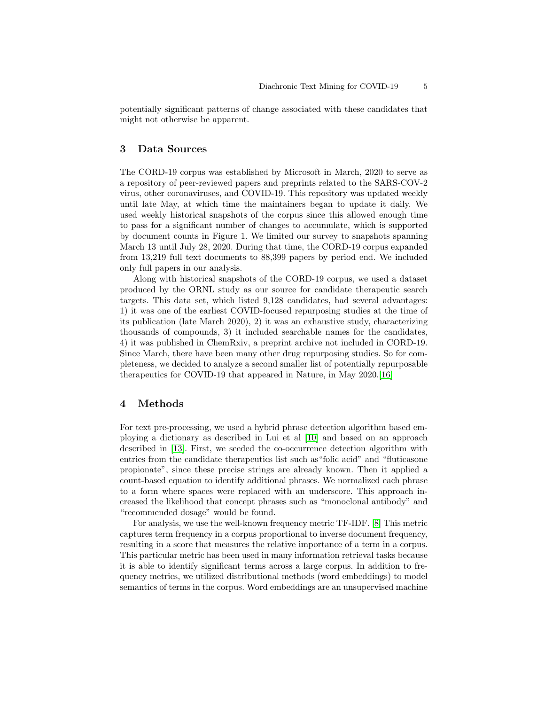potentially significant patterns of change associated with these candidates that might not otherwise be apparent.

### 3 Data Sources

The CORD-19 corpus was established by Microsoft in March, 2020 to serve as a repository of peer-reviewed papers and preprints related to the SARS-COV-2 virus, other coronaviruses, and COVID-19. This repository was updated weekly until late May, at which time the maintainers began to update it daily. We used weekly historical snapshots of the corpus since this allowed enough time to pass for a significant number of changes to accumulate, which is supported by document counts in Figure 1. We limited our survey to snapshots spanning March 13 until July 28, 2020. During that time, the CORD-19 corpus expanded from 13,219 full text documents to 88,399 papers by period end. We included only full papers in our analysis.

Along with historical snapshots of the CORD-19 corpus, we used a dataset produced by the ORNL study as our source for candidate therapeutic search targets. This data set, which listed 9,128 candidates, had several advantages: 1) it was one of the earliest COVID-focused repurposing studies at the time of its publication (late March 2020), 2) it was an exhaustive study, characterizing thousands of compounds, 3) it included searchable names for the candidates, 4) it was published in ChemRxiv, a preprint archive not included in CORD-19. Since March, there have been many other drug repurposing studies. So for completeness, we decided to analyze a second smaller list of potentially repurposable therapeutics for COVID-19 that appeared in Nature, in May 2020.[\[16\]](#page-14-1)

#### 4 Methods

For text pre-processing, we used a hybrid phrase detection algorithm based employing a dictionary as described in Lui et al [\[10\]](#page-14-12) and based on an approach described in [\[13\]](#page-14-13). First, we seeded the co-occurrence detection algorithm with entries from the candidate therapeutics list such as"folic acid" and "fluticasone propionate", since these precise strings are already known. Then it applied a count-based equation to identify additional phrases. We normalized each phrase to a form where spaces were replaced with an underscore. This approach increased the likelihood that concept phrases such as "monoclonal antibody" and "recommended dosage" would be found.

For analysis, we use the well-known frequency metric TF-IDF. [\[8\]](#page-14-11) This metric captures term frequency in a corpus proportional to inverse document frequency, resulting in a score that measures the relative importance of a term in a corpus. This particular metric has been used in many information retrieval tasks because it is able to identify significant terms across a large corpus. In addition to frequency metrics, we utilized distributional methods (word embeddings) to model semantics of terms in the corpus. Word embeddings are an unsupervised machine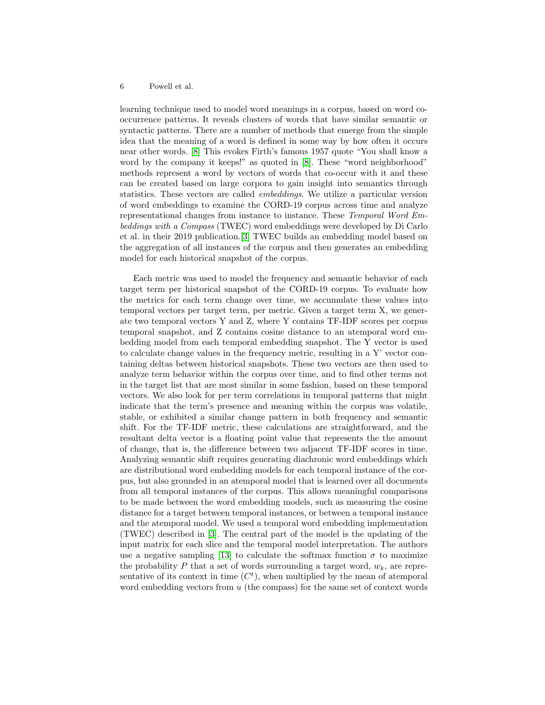learning technique used to model word meanings in a corpus, based on word cooccurrence patterns. It reveals clusters of words that have similar semantic or syntactic patterns. There are a number of methods that emerge from the simple idea that the meaning of a word is defined in some way by how often it occurs near other words. [\[8\]](#page-14-11) This evokes Firth's famous 1957 quote "You shall know a word by the company it keeps!" as quoted in [\[8\]](#page-14-11). These "word neighborhood" methods represent a word by vectors of words that co-occur with it and these can be created based on large corpora to gain insight into semantics through statistics. These vectors are called embeddings. We utilize a particular version of word embeddings to examine the CORD-19 corpus across time and analyze representational changes from instance to instance. These Temporal Word Embeddings with a Compass (TWEC) word embeddings were developed by Di Carlo et al. in their 2019 publication.[\[3\]](#page-14-14) TWEC builds an embedding model based on the aggregation of all instances of the corpus and then generates an embedding model for each historical snapshot of the corpus.

Each metric was used to model the frequency and semantic behavior of each target term per historical snapshot of the CORD-19 corpus. To evaluate how the metrics for each term change over time, we accumulate these values into temporal vectors per target term, per metric. Given a target term X, we generate two temporal vectors Y and Z, where Y contains TF-IDF scores per corpus temporal snapshot, and Z contains cosine distance to an atemporal word embedding model from each temporal embedding snapshot. The Y vector is used to calculate change values in the frequency metric, resulting in a Y' vector containing deltas between historical snapshots. These two vectors are then used to analyze term behavior within the corpus over time, and to find other terms not in the target list that are most similar in some fashion, based on these temporal vectors. We also look for per term correlations in temporal patterns that might indicate that the term's presence and meaning within the corpus was volatile, stable, or exhibited a similar change pattern in both frequency and semantic shift. For the TF-IDF metric, these calculations are straightforward, and the resultant delta vector is a floating point value that represents the the amount of change, that is, the difference between two adjacent TF-IDF scores in time. Analyzing semantic shift requires generating diachronic word embeddings which are distributional word embedding models for each temporal instance of the corpus, but also grounded in an atemporal model that is learned over all documents from all temporal instances of the corpus. This allows meaningful comparisons to be made between the word embedding models, such as measuring the cosine distance for a target between temporal instances, or between a temporal instance and the atemporal model. We used a temporal word embedding implementation (TWEC) described in [\[3\]](#page-14-14). The central part of the model is the updating of the input matrix for each slice and the temporal model interpretation. The authors use a negative sampling [\[13\]](#page-14-13) to calculate the softmax function  $\sigma$  to maximize the probability P that a set of words surrounding a target word,  $w_k$ , are representative of its context in time  $(C<sup>t</sup>)$ , when multiplied by the mean of atemporal word embedding vectors from  $u$  (the compass) for the same set of context words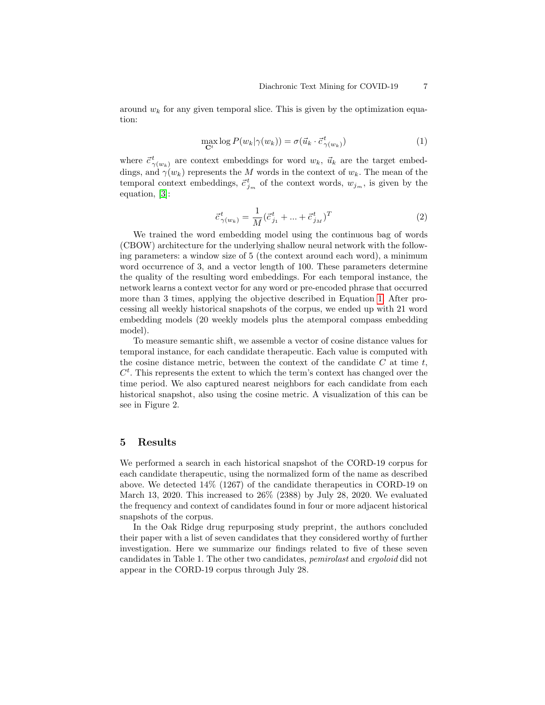around  $w_k$  for any given temporal slice. This is given by the optimization equation:

<span id="page-6-0"></span>
$$
\max_{\mathbf{C}^t} \log P(w_k | \gamma(w_k)) = \sigma(\vec{u}_k \cdot \vec{c}_{\gamma(w_k)}) \tag{1}
$$

where  $\vec{c}^t_{\gamma(w_k)}$  are context embeddings for word  $w_k$ ,  $\vec{u}_k$  are the target embeddings, and  $\gamma(w_k)$  represents the M words in the context of  $w_k$ . The mean of the temporal context embeddings,  $\vec{c}_{j_m}^t$  of the context words,  $w_{j_m}$ , is given by the equation, [\[3\]](#page-14-14):

$$
\vec{c}_{\gamma(w_k)}^t = \frac{1}{M} (\vec{c}_{j_1}^t + \dots + \vec{c}_{j_M}^t)^T
$$
\n(2)

We trained the word embedding model using the continuous bag of words (CBOW) architecture for the underlying shallow neural network with the following parameters: a window size of 5 (the context around each word), a minimum word occurrence of 3, and a vector length of 100. These parameters determine the quality of the resulting word embeddings. For each temporal instance, the network learns a context vector for any word or pre-encoded phrase that occurred more than 3 times, applying the objective described in Equation [1.](#page-6-0) After processing all weekly historical snapshots of the corpus, we ended up with 21 word embedding models (20 weekly models plus the atemporal compass embedding model).

To measure semantic shift, we assemble a vector of cosine distance values for temporal instance, for each candidate therapeutic. Each value is computed with the cosine distance metric, between the context of the candidate  $C$  at time  $t$ ,  $C<sup>t</sup>$ . This represents the extent to which the term's context has changed over the time period. We also captured nearest neighbors for each candidate from each historical snapshot, also using the cosine metric. A visualization of this can be see in Figure 2.

### 5 Results

We performed a search in each historical snapshot of the CORD-19 corpus for each candidate therapeutic, using the normalized form of the name as described above. We detected 14% (1267) of the candidate therapeutics in CORD-19 on March 13, 2020. This increased to 26% (2388) by July 28, 2020. We evaluated the frequency and context of candidates found in four or more adjacent historical snapshots of the corpus.

In the Oak Ridge drug repurposing study preprint, the authors concluded their paper with a list of seven candidates that they considered worthy of further investigation. Here we summarize our findings related to five of these seven candidates in Table 1. The other two candidates, pemirolast and ergoloid did not appear in the CORD-19 corpus through July 28.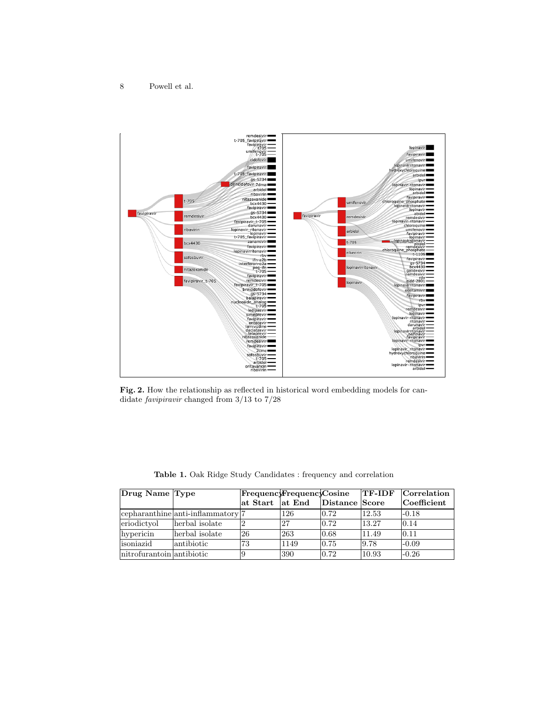

Fig. 2. How the relationship as reflected in historical word embedding models for candidate favipiravir changed from 3/13 to 7/28

| Drug Name Type            |                                       | FrequencyFrequencyCosine        |      |                | <b>TF-IDF</b> | Correlation           |
|---------------------------|---------------------------------------|---------------------------------|------|----------------|---------------|-----------------------|
|                           |                                       | $\vert$ at Start $\vert$ at End |      | Distance Score |               | $ {\rm Coefficient} $ |
|                           | $ c$ epharanthine anti-inflammatory 7 |                                 | 126  | 0.72           | 12.53         | $-0.18$               |
| eriodictyol               | herbal isolate                        |                                 | 27   | 0.72           | 13.27         | 0.14                  |
| hypericin                 | herbal isolate                        | 26                              | 263  | 0.68           | 11.49         | 0.11                  |
| lisoniazid                | lantibiotic                           | 73                              | 1149 | 0.75           | 9.78          | $-0.09$               |
| nitrofurantoin antibiotic |                                       |                                 | 390  | $ 0.72\rangle$ | 10.93         | $-0.26$               |

Table 1. Oak Ridge Study Candidates : frequency and correlation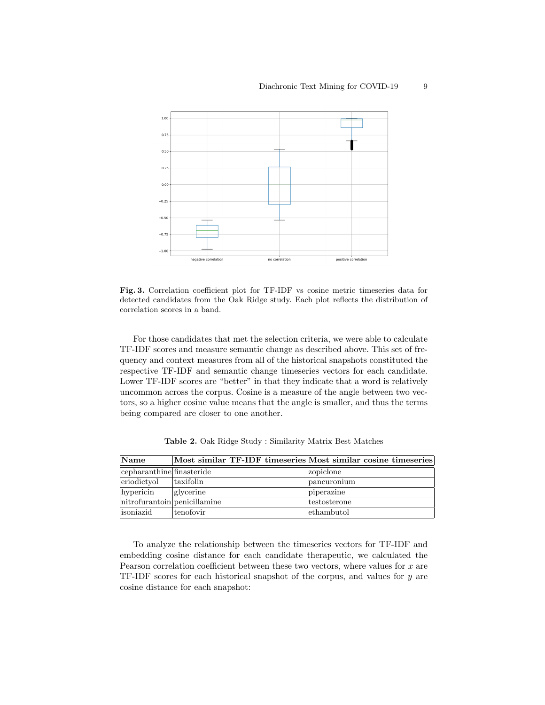

Fig. 3. Correlation coefficient plot for TF-IDF vs cosine metric timeseries data for detected candidates from the Oak Ridge study. Each plot reflects the distribution of correlation scores in a band.

For those candidates that met the selection criteria, we were able to calculate TF-IDF scores and measure semantic change as described above. This set of frequency and context measures from all of the historical snapshots constituted the respective TF-IDF and semantic change timeseries vectors for each candidate. Lower TF-IDF scores are "better" in that they indicate that a word is relatively uncommon across the corpus. Cosine is a measure of the angle between two vectors, so a higher cosine value means that the angle is smaller, and thus the terms being compared are closer to one another.

| Name                         | Most similar TF-IDF timeseries Most similar cosine timeseries |              |
|------------------------------|---------------------------------------------------------------|--------------|
| cepharanthine finasteride    |                                                               | zopiclone    |
| eriodictyol                  | taxifolin                                                     | pancuronium  |
| hypericin                    | glycerine                                                     | piperazine   |
| nitrofurantoin penicillamine |                                                               | testosterone |
| lisoniazid                   | tenofovir                                                     | ethambutol   |

<span id="page-8-0"></span>Table 2. Oak Ridge Study : Similarity Matrix Best Matches

To analyze the relationship between the timeseries vectors for TF-IDF and embedding cosine distance for each candidate therapeutic, we calculated the Pearson correlation coefficient between these two vectors, where values for x are TF-IDF scores for each historical snapshot of the corpus, and values for y are cosine distance for each snapshot: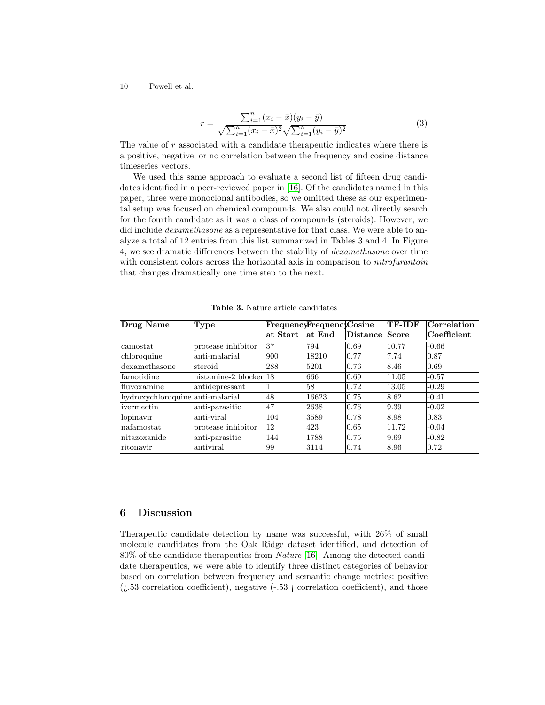$$
r = \frac{\sum_{i=1}^{n} (x_i - \bar{x})(y_i - \bar{y})}{\sqrt{\sum_{i=1}^{n} (x_i - \bar{x})^2} \sqrt{\sum_{i=1}^{n} (y_i - \bar{y})^2}}
$$
(3)

The value of r associated with a candidate therapeutic indicates where there is a positive, negative, or no correlation between the frequency and cosine distance timeseries vectors.

We used this same approach to evaluate a second list of fifteen drug candidates identified in a peer-reviewed paper in [\[16\]](#page-14-1). Of the candidates named in this paper, three were monoclonal antibodies, so we omitted these as our experimental setup was focused on chemical compounds. We also could not directly search for the fourth candidate as it was a class of compounds (steroids). However, we did include *dexamethasone* as a representative for that class. We were able to analyze a total of 12 entries from this list summarized in Tables 3 and 4. In Figure 4, we see dramatic differences between the stability of dexamethasone over time with consistent colors across the horizontal axis in comparison to *nitrofurantoin* that changes dramatically one time step to the next.

| Drug Name                        | Type                   |           | FrequencyFrequencyCosine |          | <b>TF-IDF</b> | $ {\rm Correlation} $ |
|----------------------------------|------------------------|-----------|--------------------------|----------|---------------|-----------------------|
|                                  |                        | lat Start | at End                   | Distance | Score         | Coefficient           |
| camostat                         | protease inhibitor     | 37        | 794                      | 0.69     | 10.77         | $-0.66$               |
| chloroquine                      | anti-malarial          | 900       | 18210                    | 0.77     | 7.74          | 0.87                  |
| dexamethasone                    | steroid                | 288       | 5201                     | 0.76     | 8.46          | 0.69                  |
| famotidine                       | histamine-2 blocker 18 |           | 666                      | 0.69     | 11.05         | $-0.57$               |
| fluvoxamine                      | antidepressant         |           | 58                       | 0.72     | 13.05         | $-0.29$               |
| hydroxychloroquine anti-malarial |                        | 48        | 16623                    | 0.75     | 8.62          | $-0.41$               |
| ivermectin                       | anti-parasitic         | 47        | 2638                     | 0.76     | 9.39          | $-0.02$               |
| lopinavir                        | anti-viral             | 104       | 3589                     | 0.78     | 8.98          | 0.83                  |
| nafamostat                       | protease inhibitor     | 12        | 423                      | 0.65     | 11.72         | $-0.04$               |
| nitazoxanide                     | anti-parasitic         | 144       | 1788                     | 0.75     | 9.69          | $-0.82$               |
| ritonavir                        | antiviral              | 99        | 3114                     | 0.74     | 8.96          | $ 0.72\rangle$        |

Table 3. Nature article candidates

# 6 Discussion

Therapeutic candidate detection by name was successful, with 26% of small molecule candidates from the Oak Ridge dataset identified, and detection of 80% of the candidate therapeutics from Nature [\[16\]](#page-14-1). Among the detected candidate therapeutics, we were able to identify three distinct categories of behavior based on correlation between frequency and semantic change metrics: positive  $(i.53$  correlation coefficient), negative  $(-.53$  ; correlation coefficient), and those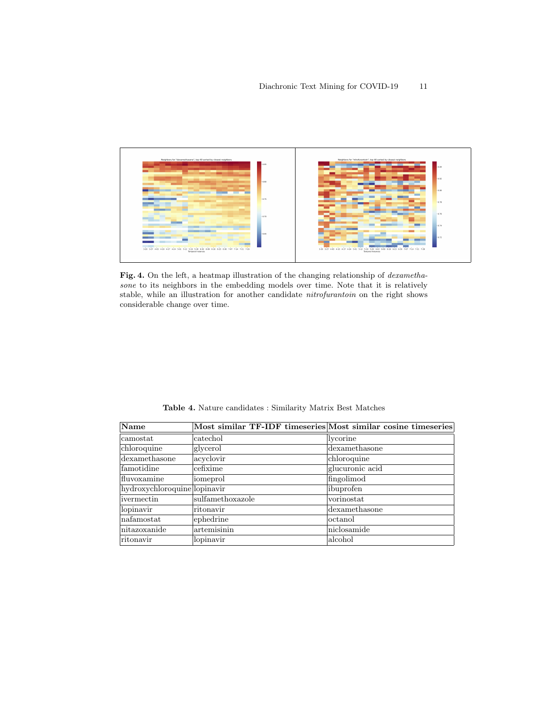

Fig. 4. On the left, a heatmap illustration of the changing relationship of *dexametha*sone to its neighbors in the embedding models over time. Note that it is relatively stable, while an illustration for another candidate nitrofurantoin on the right shows considerable change over time.

| Name                         | Most similar TF-IDF timeseries Most similar cosine timeseries |                 |
|------------------------------|---------------------------------------------------------------|-----------------|
| camostat                     | catechol                                                      | lycorine        |
| chloroquine                  | glycerol                                                      | dexamethasone   |
| dexamethasone                | acyclovir                                                     | chloroquine     |
| famotidine                   | cefixime                                                      | glucuronic acid |
| fluvoxamine                  | iomeprol                                                      | fingolimod      |
| hydroxychloroquine lopinavir |                                                               | ibuprofen       |
| ivermectin                   | sulfamethoxazole                                              | vorinostat      |
| lopinavir                    | ritonavir                                                     | dexamethasone   |
| nafamostat                   | ephedrine                                                     | octanol         |
| nitazoxanide                 | artemisinin                                                   | niclosamide     |
| ritonavir                    | lopinavir                                                     | alcohol         |

<span id="page-10-0"></span>Table 4. Nature candidates : Similarity Matrix Best Matches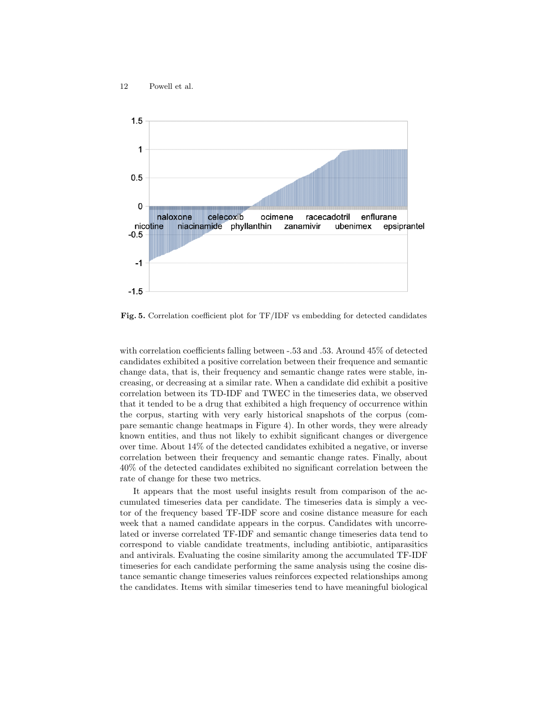

Fig. 5. Correlation coefficient plot for TF/IDF vs embedding for detected candidates

with correlation coefficients falling between -.53 and .53. Around 45% of detected candidates exhibited a positive correlation between their frequence and semantic change data, that is, their frequency and semantic change rates were stable, increasing, or decreasing at a similar rate. When a candidate did exhibit a positive correlation between its TD-IDF and TWEC in the timeseries data, we observed that it tended to be a drug that exhibited a high frequency of occurrence within the corpus, starting with very early historical snapshots of the corpus (compare semantic change heatmaps in Figure 4). In other words, they were already known entities, and thus not likely to exhibit significant changes or divergence over time. About 14% of the detected candidates exhibited a negative, or inverse correlation between their frequency and semantic change rates. Finally, about 40% of the detected candidates exhibited no significant correlation between the rate of change for these two metrics.

It appears that the most useful insights result from comparison of the accumulated timeseries data per candidate. The timeseries data is simply a vector of the frequency based TF-IDF score and cosine distance measure for each week that a named candidate appears in the corpus. Candidates with uncorrelated or inverse correlated TF-IDF and semantic change timeseries data tend to correspond to viable candidate treatments, including antibiotic, antiparasitics and antivirals. Evaluating the cosine similarity among the accumulated TF-IDF timeseries for each candidate performing the same analysis using the cosine distance semantic change timeseries values reinforces expected relationships among the candidates. Items with similar timeseries tend to have meaningful biological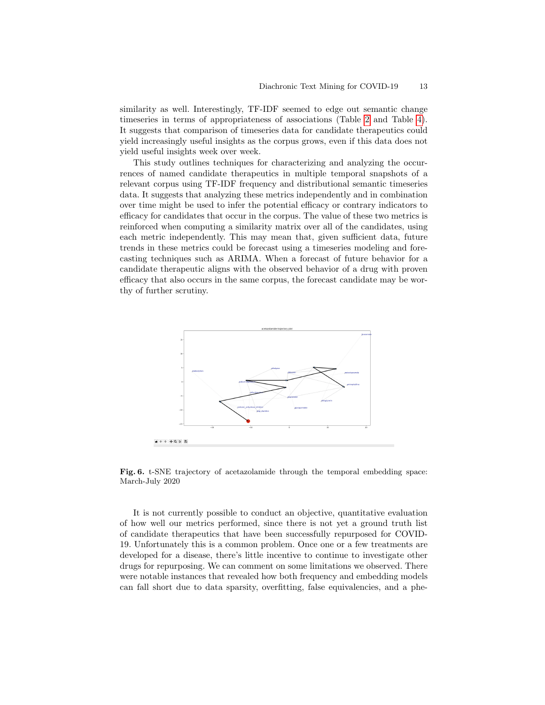similarity as well. Interestingly, TF-IDF seemed to edge out semantic change timeseries in terms of appropriateness of associations (Table [2](#page-8-0) and Table [4\)](#page-10-0). It suggests that comparison of timeseries data for candidate therapeutics could yield increasingly useful insights as the corpus grows, even if this data does not yield useful insights week over week.

This study outlines techniques for characterizing and analyzing the occurrences of named candidate therapeutics in multiple temporal snapshots of a relevant corpus using TF-IDF frequency and distributional semantic timeseries data. It suggests that analyzing these metrics independently and in combination over time might be used to infer the potential efficacy or contrary indicators to efficacy for candidates that occur in the corpus. The value of these two metrics is reinforced when computing a similarity matrix over all of the candidates, using each metric independently. This may mean that, given sufficient data, future trends in these metrics could be forecast using a timeseries modeling and forecasting techniques such as ARIMA. When a forecast of future behavior for a candidate therapeutic aligns with the observed behavior of a drug with proven efficacy that also occurs in the same corpus, the forecast candidate may be worthy of further scrutiny.



Fig. 6. t-SNE trajectory of acetazolamide through the temporal embedding space: March-July 2020

It is not currently possible to conduct an objective, quantitative evaluation of how well our metrics performed, since there is not yet a ground truth list of candidate therapeutics that have been successfully repurposed for COVID-19. Unfortunately this is a common problem. Once one or a few treatments are developed for a disease, there's little incentive to continue to investigate other drugs for repurposing. We can comment on some limitations we observed. There were notable instances that revealed how both frequency and embedding models can fall short due to data sparsity, overfitting, false equivalencies, and a phe-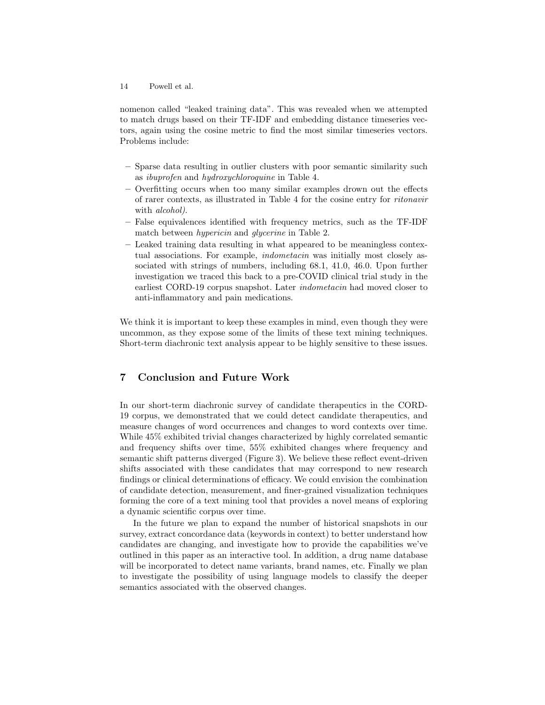nomenon called "leaked training data". This was revealed when we attempted to match drugs based on their TF-IDF and embedding distance timeseries vectors, again using the cosine metric to find the most similar timeseries vectors. Problems include:

- Sparse data resulting in outlier clusters with poor semantic similarity such as ibuprofen and hydroxychloroquine in Table 4.
- Overfitting occurs when too many similar examples drown out the effects of rarer contexts, as illustrated in Table 4 for the cosine entry for ritonavir with alcohol).
- False equivalences identified with frequency metrics, such as the TF-IDF match between hypericin and glycerine in Table 2.
- Leaked training data resulting in what appeared to be meaningless contextual associations. For example, indometacin was initially most closely associated with strings of numbers, including 68.1, 41.0, 46.0. Upon further investigation we traced this back to a pre-COVID clinical trial study in the earliest CORD-19 corpus snapshot. Later indometacin had moved closer to anti-inflammatory and pain medications.

We think it is important to keep these examples in mind, even though they were uncommon, as they expose some of the limits of these text mining techniques. Short-term diachronic text analysis appear to be highly sensitive to these issues.

# 7 Conclusion and Future Work

In our short-term diachronic survey of candidate therapeutics in the CORD-19 corpus, we demonstrated that we could detect candidate therapeutics, and measure changes of word occurrences and changes to word contexts over time. While 45% exhibited trivial changes characterized by highly correlated semantic and frequency shifts over time, 55% exhibited changes where frequency and semantic shift patterns diverged (Figure 3). We believe these reflect event-driven shifts associated with these candidates that may correspond to new research findings or clinical determinations of efficacy. We could envision the combination of candidate detection, measurement, and finer-grained visualization techniques forming the core of a text mining tool that provides a novel means of exploring a dynamic scientific corpus over time.

In the future we plan to expand the number of historical snapshots in our survey, extract concordance data (keywords in context) to better understand how candidates are changing, and investigate how to provide the capabilities we've outlined in this paper as an interactive tool. In addition, a drug name database will be incorporated to detect name variants, brand names, etc. Finally we plan to investigate the possibility of using language models to classify the deeper semantics associated with the observed changes.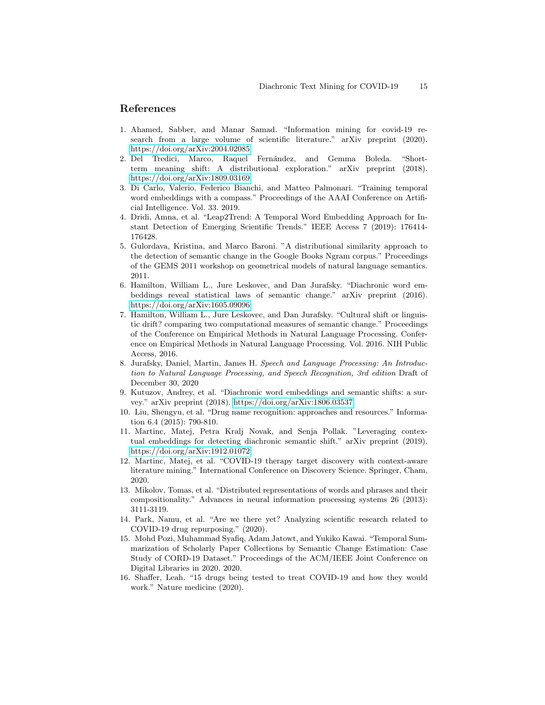# References

- <span id="page-14-10"></span>1. Ahamed, Sabber, and Manar Samad. "Information mining for covid-19 research from a large volume of scientific literature." arXiv preprint (2020). <https://doi.org/arXiv:2004.02085>
- <span id="page-14-5"></span>2. Del Tredici, Marco, Raquel Fernández, and Gemma Boleda. "Shortterm meaning shift: A distributional exploration." arXiv preprint (2018). <https://doi.org/arXiv:1809.03169>
- <span id="page-14-14"></span>3. Di Carlo, Valerio, Federico Bianchi, and Matteo Palmonari. "Training temporal word embeddings with a compass." Proceedings of the AAAI Conference on Artificial Intelligence. Vol. 33. 2019.
- <span id="page-14-0"></span>4. Dridi, Amna, et al. "Leap2Trend: A Temporal Word Embedding Approach for Instant Detection of Emerging Scientific Trends." IEEE Access 7 (2019): 176414- 176428.
- <span id="page-14-4"></span>5. Gulordava, Kristina, and Marco Baroni. "A distributional similarity approach to the detection of semantic change in the Google Books Ngram corpus." Proceedings of the GEMS 2011 workshop on geometrical models of natural language semantics. 2011.
- <span id="page-14-3"></span>6. Hamilton, William L., Jure Leskovec, and Dan Jurafsky. "Diachronic word embeddings reveal statistical laws of semantic change." arXiv preprint (2016). <https://doi.org/arXiv:1605.09096>
- 7. Hamilton, William L., Jure Leskovec, and Dan Jurafsky. "Cultural shift or linguistic drift? comparing two computational measures of semantic change." Proceedings of the Conference on Empirical Methods in Natural Language Processing. Conference on Empirical Methods in Natural Language Processing. Vol. 2016. NIH Public Access, 2016.
- <span id="page-14-11"></span>8. Jurafsky, Daniel, Martin, James H. Speech and Language Processing: An Introduction to Natural Language Processing, and Speech Recognition, 3rd edition Draft of December 30, 2020
- <span id="page-14-2"></span>9. Kutuzov, Andrey, et al. "Diachronic word embeddings and semantic shifts: a survey." arXiv preprint (2018).<https://doi.org/arXiv:1806.03537>
- <span id="page-14-12"></span>10. Liu, Shengyu, et al. "Drug name recognition: approaches and resources." Information 6.4 (2015): 790-810.
- <span id="page-14-6"></span>11. Martinc, Matej, Petra Kralj Novak, and Senja Pollak. "Leveraging contextual embeddings for detecting diachronic semantic shift." arXiv preprint (2019). <https://doi.org/arXiv:1912.01072>
- <span id="page-14-8"></span>12. Martinc, Matej, et al. "COVID-19 therapy target discovery with context-aware literature mining." International Conference on Discovery Science. Springer, Cham, 2020.
- <span id="page-14-13"></span>13. Mikolov, Tomas, et al. "Distributed representations of words and phrases and their compositionality." Advances in neural information processing systems 26 (2013): 3111-3119.
- <span id="page-14-9"></span>14. Park, Namu, et al. "Are we there yet? Analyzing scientific research related to COVID-19 drug repurposing." (2020).
- <span id="page-14-7"></span>15. Mohd Pozi, Muhammad Syafiq, Adam Jatowt, and Yukiko Kawai. "Temporal Summarization of Scholarly Paper Collections by Semantic Change Estimation: Case Study of CORD-19 Dataset." Proceedings of the ACM/IEEE Joint Conference on Digital Libraries in 2020. 2020.
- <span id="page-14-1"></span>16. Shaffer, Leah. "15 drugs being tested to treat COVID-19 and how they would work." Nature medicine (2020).